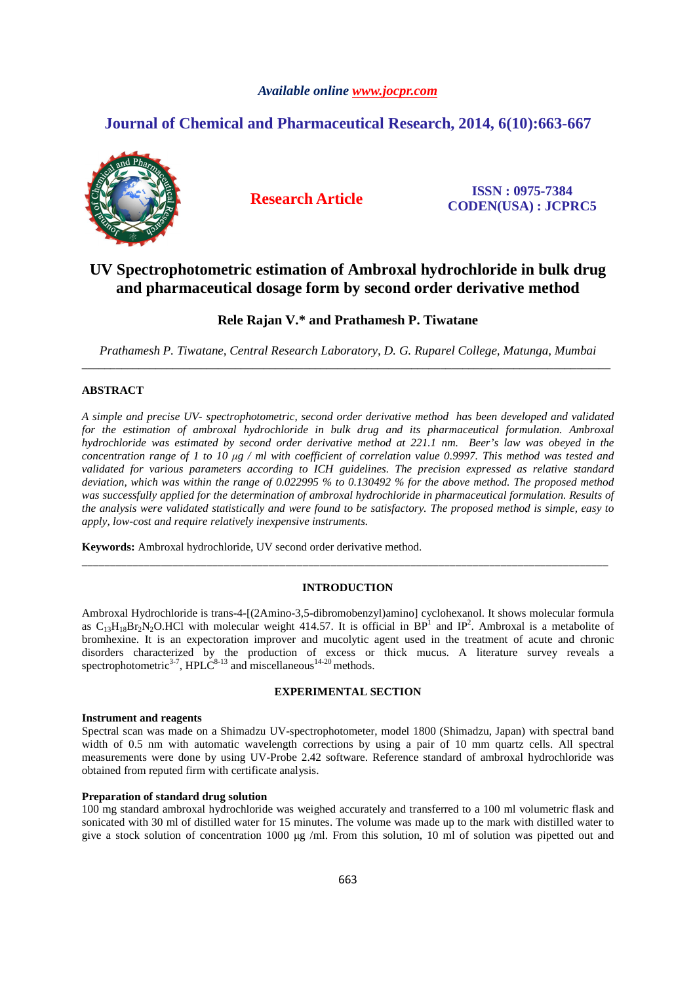## *Available online www.jocpr.com*

# **Journal of Chemical and Pharmaceutical Research, 2014, 6(10):663-667**



**Research Article ISSN : 0975-7384 CODEN(USA) : JCPRC5**

# **UV Spectrophotometric estimation of Ambroxal hydrochloride in bulk drug and pharmaceutical dosage form by second order derivative method**

# **Rele Rajan V.\* and Prathamesh P. Tiwatane**

*Prathamesh P. Tiwatane, Central Research Laboratory, D. G. Ruparel College, Matunga, Mumbai*  \_\_\_\_\_\_\_\_\_\_\_\_\_\_\_\_\_\_\_\_\_\_\_\_\_\_\_\_\_\_\_\_\_\_\_\_\_\_\_\_\_\_\_\_\_\_\_\_\_\_\_\_\_\_\_\_\_\_\_\_\_\_\_\_\_\_\_\_\_\_\_\_\_\_\_\_\_\_\_\_\_\_\_\_\_\_\_\_\_\_\_\_\_

# **ABSTRACT**

*A simple and precise UV- spectrophotometric, second order derivative method has been developed and validated for the estimation of ambroxal hydrochloride in bulk drug and its pharmaceutical formulation. Ambroxal hydrochloride was estimated by second order derivative method at 221.1 nm. Beer's law was obeyed in the concentration range of 1 to 10 µg / ml with coefficient of correlation value 0.9997. This method was tested and validated for various parameters according to ICH guidelines. The precision expressed as relative standard deviation, which was within the range of 0.022995 % to 0.130492 % for the above method. The proposed method was successfully applied for the determination of ambroxal hydrochloride in pharmaceutical formulation. Results of the analysis were validated statistically and were found to be satisfactory. The proposed method is simple, easy to apply, low-cost and require relatively inexpensive instruments.* 

**Keywords:** Ambroxal hydrochloride, UV second order derivative method.

## **INTRODUCTION**

\_\_\_\_\_\_\_\_\_\_\_\_\_\_\_\_\_\_\_\_\_\_\_\_\_\_\_\_\_\_\_\_\_\_\_\_\_\_\_\_\_\_\_\_\_\_\_\_\_\_\_\_\_\_\_\_\_\_\_\_\_\_\_\_\_\_\_\_\_\_\_\_\_\_\_\_\_\_\_\_\_\_\_\_\_\_\_\_\_\_\_\_\_

Ambroxal Hydrochloride is trans-4-[(2Amino-3,5-dibromobenzyl)amino] cyclohexanol. It shows molecular formula as  $C_{13}H_{18}Br_2N_2O$ .HCl with molecular weight 414.57. It is official in  $BP^1$  and  $IP^2$ . Ambroxal is a metabolite of bromhexine. It is an expectoration improver and mucolytic agent used in the treatment of acute and chronic disorders characterized by the production of excess or thick mucus. A literature survey reveals a spectrophotometric<sup>3-7</sup>, HPLC<sup>8-13</sup> and miscellaneous<sup>14-20</sup> methods.

## **EXPERIMENTAL SECTION**

#### **Instrument and reagents**

Spectral scan was made on a Shimadzu UV-spectrophotometer, model 1800 (Shimadzu, Japan) with spectral band width of 0.5 nm with automatic wavelength corrections by using a pair of 10 mm quartz cells. All spectral measurements were done by using UV-Probe 2.42 software. Reference standard of ambroxal hydrochloride was obtained from reputed firm with certificate analysis.

# **Preparation of standard drug solution**

100 mg standard ambroxal hydrochloride was weighed accurately and transferred to a 100 ml volumetric flask and sonicated with 30 ml of distilled water for 15 minutes. The volume was made up to the mark with distilled water to give a stock solution of concentration 1000  $\mu$ g /ml. From this solution, 10 ml of solution was pipetted out and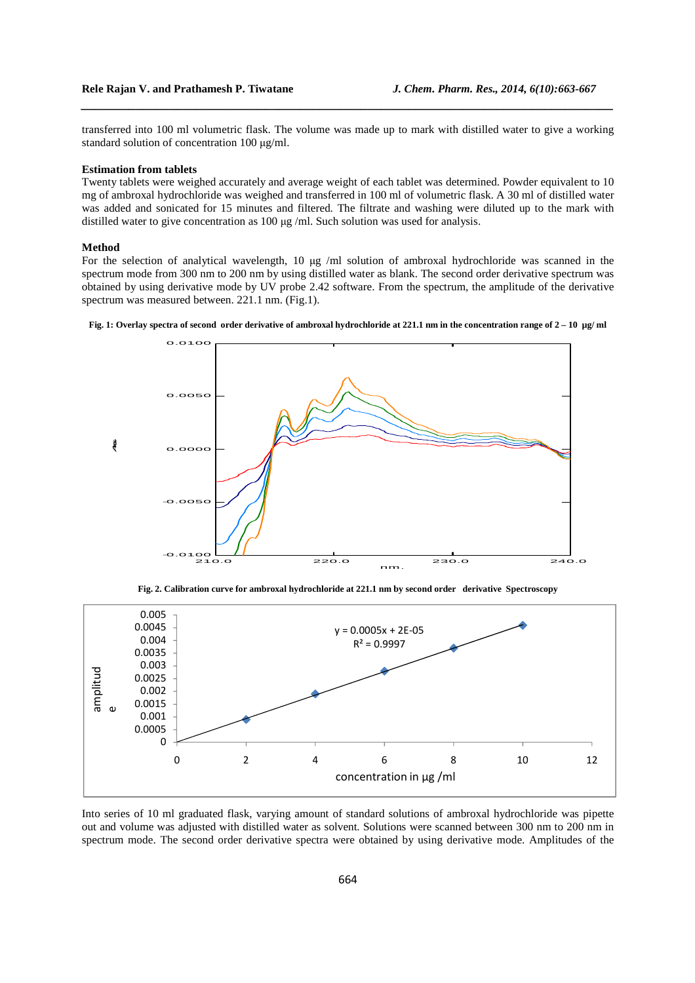transferred into 100 ml volumetric flask. The volume was made up to mark with distilled water to give a working standard solution of concentration 100 µg/ml.

*\_\_\_\_\_\_\_\_\_\_\_\_\_\_\_\_\_\_\_\_\_\_\_\_\_\_\_\_\_\_\_\_\_\_\_\_\_\_\_\_\_\_\_\_\_\_\_\_\_\_\_\_\_\_\_\_\_\_\_\_\_\_\_\_\_\_\_\_\_\_\_\_\_\_\_\_\_\_*

#### **Estimation from tablets**

Twenty tablets were weighed accurately and average weight of each tablet was determined. Powder equivalent to 10 mg of ambroxal hydrochloride was weighed and transferred in 100 ml of volumetric flask. A 30 ml of distilled water was added and sonicated for 15 minutes and filtered. The filtrate and washing were diluted up to the mark with distilled water to give concentration as 100 µg /ml. Such solution was used for analysis.

## **Method**

For the selection of analytical wavelength, 10 µg /ml solution of ambroxal hydrochloride was scanned in the spectrum mode from 300 nm to 200 nm by using distilled water as blank. The second order derivative spectrum was obtained by using derivative mode by UV probe 2.42 software. From the spectrum, the amplitude of the derivative spectrum was measured between. 221.1 nm. (Fig.1).





**Fig. 2. Calibration curve for ambroxal hydrochloride at 221.1 nm by second order derivative Spectroscopy** 



Into series of 10 ml graduated flask, varying amount of standard solutions of ambroxal hydrochloride was pipette out and volume was adjusted with distilled water as solvent. Solutions were scanned between 300 nm to 200 nm in spectrum mode. The second order derivative spectra were obtained by using derivative mode. Amplitudes of the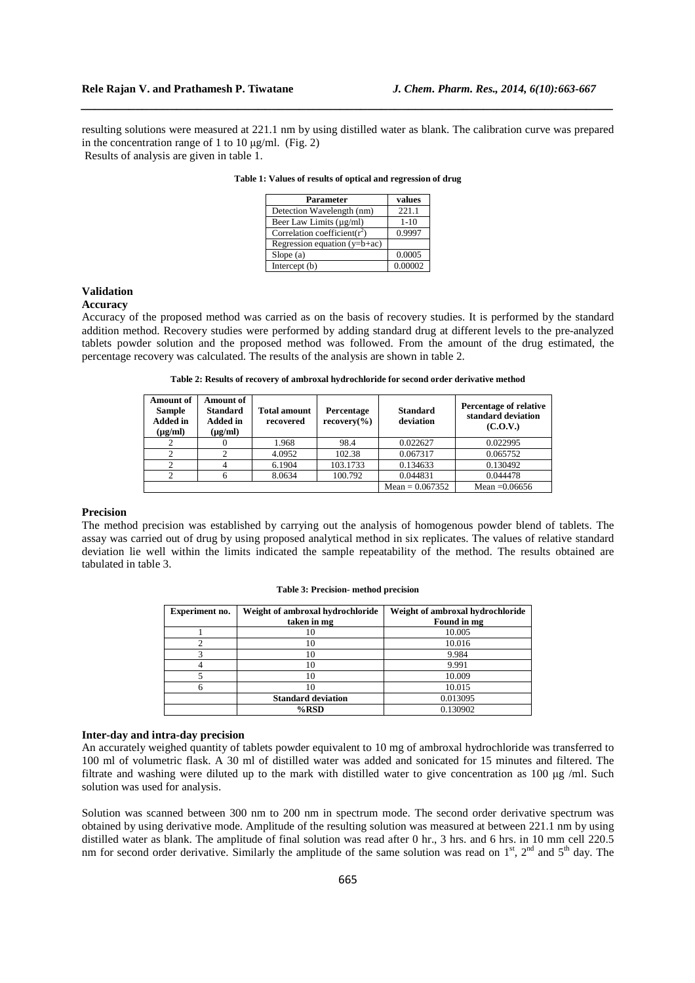resulting solutions were measured at 221.1 nm by using distilled water as blank. The calibration curve was prepared in the concentration range of 1 to 10  $\mu$ g/ml. (Fig. 2)

*\_\_\_\_\_\_\_\_\_\_\_\_\_\_\_\_\_\_\_\_\_\_\_\_\_\_\_\_\_\_\_\_\_\_\_\_\_\_\_\_\_\_\_\_\_\_\_\_\_\_\_\_\_\_\_\_\_\_\_\_\_\_\_\_\_\_\_\_\_\_\_\_\_\_\_\_\_\_*

Results of analysis are given in table 1.

| Parameter                        | values  |
|----------------------------------|---------|
| Detection Wavelength (nm)        | 221.1   |
| Beer Law Limits (µg/ml)          | $1-10$  |
| Correlation coefficient( $r^2$ ) | 0.9997  |
| Regression equation $(y=b+ac)$   |         |
| Slope(a)                         | 0.0005  |
| Intercept $(b)$                  | 0.00002 |

| Table 1: Values of results of optical and regression of drug |
|--------------------------------------------------------------|
|--------------------------------------------------------------|

## **Validation**

#### **Accuracy**

Accuracy of the proposed method was carried as on the basis of recovery studies. It is performed by the standard addition method. Recovery studies were performed by adding standard drug at different levels to the pre-analyzed tablets powder solution and the proposed method was followed. From the amount of the drug estimated, the percentage recovery was calculated. The results of the analysis are shown in table 2.

| Table 2: Results of recovery of ambroxal hydrochloride for second order derivative method |
|-------------------------------------------------------------------------------------------|
|-------------------------------------------------------------------------------------------|

| <b>Amount of</b><br><b>Sample</b><br><b>Added</b> in<br>$(\mu g/ml)$ | <b>Amount of</b><br><b>Standard</b><br><b>Added</b> in<br>$(\mu g/ml)$ | <b>Total amount</b><br>recovered | Percentage<br>recovery( <sub>0</sub> ) | <b>Standard</b><br>deviation | <b>Percentage of relative</b><br>standard deviation<br>(C.O.V.) |
|----------------------------------------------------------------------|------------------------------------------------------------------------|----------------------------------|----------------------------------------|------------------------------|-----------------------------------------------------------------|
|                                                                      |                                                                        | 1.968                            | 98.4                                   | 0.022627                     | 0.022995                                                        |
|                                                                      |                                                                        | 4.0952                           | 102.38                                 | 0.067317                     | 0.065752                                                        |
|                                                                      |                                                                        | 6.1904                           | 103.1733                               | 0.134633                     | 0.130492                                                        |
|                                                                      |                                                                        | 8.0634                           | 100.792                                | 0.044831                     | 0.044478                                                        |
|                                                                      |                                                                        |                                  |                                        | Mean = $0.067352$            | Mean $=0.06656$                                                 |

#### **Precision**

The method precision was established by carrying out the analysis of homogenous powder blend of tablets. The assay was carried out of drug by using proposed analytical method in six replicates. The values of relative standard deviation lie well within the limits indicated the sample repeatability of the method. The results obtained are tabulated in table 3.

#### **Table 3: Precision- method precision**

| <b>Experiment no.</b> | Weight of ambroxal hydrochloride | Weight of ambroxal hydrochloride |
|-----------------------|----------------------------------|----------------------------------|
|                       | taken in mg                      | Found in mg                      |
|                       | 10                               | 10.005                           |
|                       | 10                               | 10.016                           |
|                       | 10                               | 9.984                            |
|                       | 10                               | 9.991                            |
|                       | 10                               | 10.009                           |
|                       | 10                               | 10.015                           |
|                       | <b>Standard deviation</b>        | 0.013095                         |
|                       | $%$ RSD                          | 0.130902                         |

## **Inter-day and intra-day precision**

An accurately weighed quantity of tablets powder equivalent to 10 mg of ambroxal hydrochloride was transferred to 100 ml of volumetric flask. A 30 ml of distilled water was added and sonicated for 15 minutes and filtered. The filtrate and washing were diluted up to the mark with distilled water to give concentration as 100 µg /ml. Such solution was used for analysis.

Solution was scanned between 300 nm to 200 nm in spectrum mode. The second order derivative spectrum was obtained by using derivative mode. Amplitude of the resulting solution was measured at between 221.1 nm by using distilled water as blank. The amplitude of final solution was read after 0 hr., 3 hrs. and 6 hrs. in 10 mm cell 220.5 nm for second order derivative. Similarly the amplitude of the same solution was read on  $1<sup>st</sup>$ ,  $2<sup>nd</sup>$  and  $5<sup>th</sup>$  day. The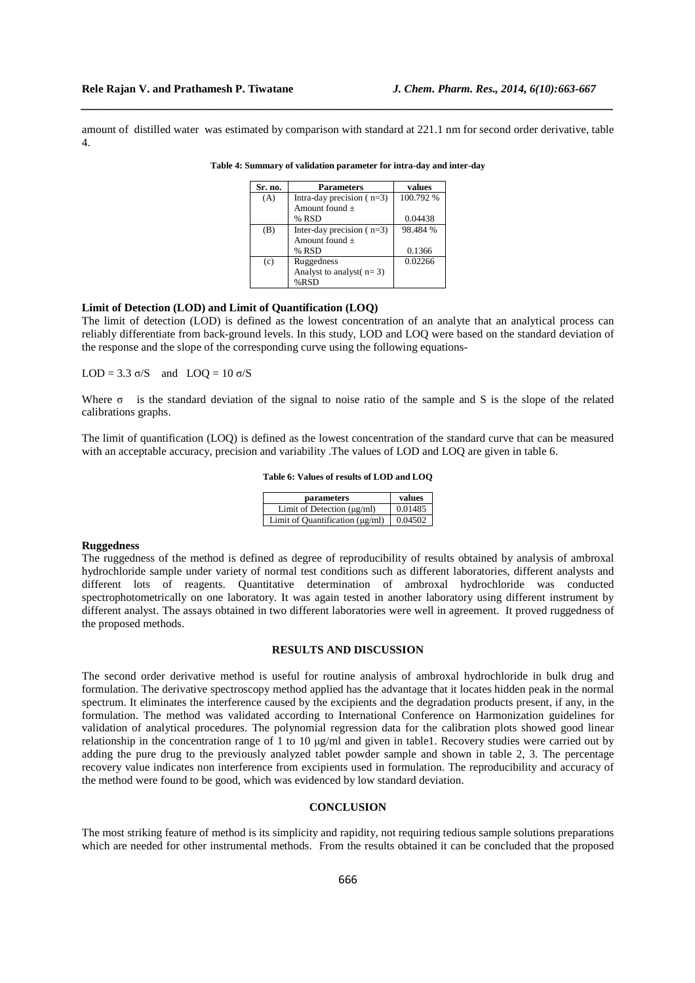amount of distilled water was estimated by comparison with standard at 221.1 nm for second order derivative, table 4.

*\_\_\_\_\_\_\_\_\_\_\_\_\_\_\_\_\_\_\_\_\_\_\_\_\_\_\_\_\_\_\_\_\_\_\_\_\_\_\_\_\_\_\_\_\_\_\_\_\_\_\_\_\_\_\_\_\_\_\_\_\_\_\_\_\_\_\_\_\_\_\_\_\_\_\_\_\_\_*

| Sr. no. | <b>Parameters</b>           | values    |
|---------|-----------------------------|-----------|
| (A)     | Intra-day precision $(n=3)$ | 100.792 % |
|         | Amount found $+$            |           |
|         | % RSD                       | 0.04438   |
| (B)     | Inter-day precision $(n=3)$ | 98.484 %  |
|         | Amount found $+$            |           |
|         | % RSD                       | 0.1366    |
| (c)     | Ruggedness                  | 0.02266   |
|         | Analyst to analyst $(n=3)$  |           |
|         | $%$ RSD                     |           |

**Table 4: Summary of validation parameter for intra-day and inter-day** 

## **Limit of Detection (LOD) and Limit of Quantification (LOQ)**

The limit of detection (LOD) is defined as the lowest concentration of an analyte that an analytical process can reliably differentiate from back-ground levels. In this study, LOD and LOQ were based on the standard deviation of the response and the slope of the corresponding curve using the following equations-

LOD = 3.3  $\sigma/S$  and LOQ = 10  $\sigma/S$ 

Where  $\sigma$  is the standard deviation of the signal to noise ratio of the sample and S is the slope of the related calibrations graphs.

The limit of quantification (LOQ) is defined as the lowest concentration of the standard curve that can be measured with an acceptable accuracy, precision and variability .The values of LOD and LOQ are given in table 6.

#### **Table 6: Values of results of LOD and LOQ**

| parameters                           | values  |
|--------------------------------------|---------|
| Limit of Detection $(\mu g/ml)$      | 0.01485 |
| Limit of Quantification $(\mu g/ml)$ | 0.04502 |

## **Ruggedness**

The ruggedness of the method is defined as degree of reproducibility of results obtained by analysis of ambroxal hydrochloride sample under variety of normal test conditions such as different laboratories, different analysts and different lots of reagents. Quantitative determination of ambroxal hydrochloride was conducted spectrophotometrically on one laboratory. It was again tested in another laboratory using different instrument by different analyst. The assays obtained in two different laboratories were well in agreement. It proved ruggedness of the proposed methods.

### **RESULTS AND DISCUSSION**

The second order derivative method is useful for routine analysis of ambroxal hydrochloride in bulk drug and formulation. The derivative spectroscopy method applied has the advantage that it locates hidden peak in the normal spectrum. It eliminates the interference caused by the excipients and the degradation products present, if any, in the formulation. The method was validated according to International Conference on Harmonization guidelines for validation of analytical procedures. The polynomial regression data for the calibration plots showed good linear relationship in the concentration range of 1 to 10 µg/ml and given in table1. Recovery studies were carried out by adding the pure drug to the previously analyzed tablet powder sample and shown in table 2, 3. The percentage recovery value indicates non interference from excipients used in formulation. The reproducibility and accuracy of the method were found to be good, which was evidenced by low standard deviation.

### **CONCLUSION**

The most striking feature of method is its simplicity and rapidity, not requiring tedious sample solutions preparations which are needed for other instrumental methods. From the results obtained it can be concluded that the proposed